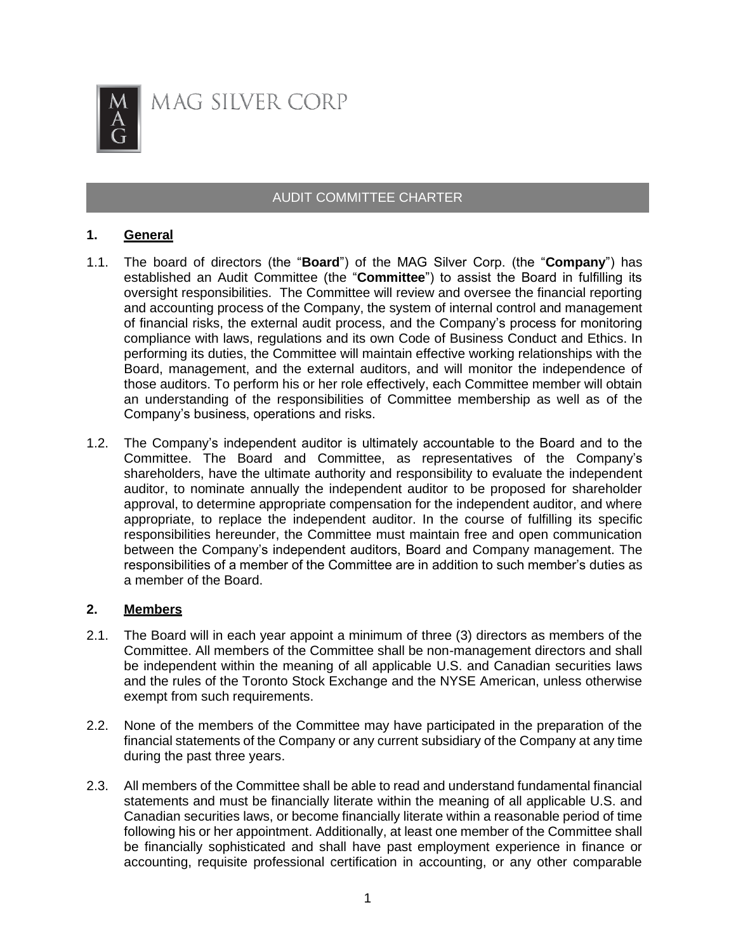

# AUDIT COMMITTEE CHARTER

### **1. General**

- 1.1. The board of directors (the "**Board**") of the MAG Silver Corp. (the "**Company**") has established an Audit Committee (the "**Committee**") to assist the Board in fulfilling its oversight responsibilities. The Committee will review and oversee the financial reporting and accounting process of the Company, the system of internal control and management of financial risks, the external audit process, and the Company's process for monitoring compliance with laws, regulations and its own Code of Business Conduct and Ethics. In performing its duties, the Committee will maintain effective working relationships with the Board, management, and the external auditors, and will monitor the independence of those auditors. To perform his or her role effectively, each Committee member will obtain an understanding of the responsibilities of Committee membership as well as of the Company's business, operations and risks.
- 1.2. The Company's independent auditor is ultimately accountable to the Board and to the Committee. The Board and Committee, as representatives of the Company's shareholders, have the ultimate authority and responsibility to evaluate the independent auditor, to nominate annually the independent auditor to be proposed for shareholder approval, to determine appropriate compensation for the independent auditor, and where appropriate, to replace the independent auditor. In the course of fulfilling its specific responsibilities hereunder, the Committee must maintain free and open communication between the Company's independent auditors, Board and Company management. The responsibilities of a member of the Committee are in addition to such member's duties as a member of the Board.

#### **2. Members**

- 2.1. The Board will in each year appoint a minimum of three (3) directors as members of the Committee. All members of the Committee shall be non-management directors and shall be independent within the meaning of all applicable U.S. and Canadian securities laws and the rules of the Toronto Stock Exchange and the NYSE American, unless otherwise exempt from such requirements.
- 2.2. None of the members of the Committee may have participated in the preparation of the financial statements of the Company or any current subsidiary of the Company at any time during the past three years.
- 2.3. All members of the Committee shall be able to read and understand fundamental financial statements and must be financially literate within the meaning of all applicable U.S. and Canadian securities laws, or become financially literate within a reasonable period of time following his or her appointment. Additionally, at least one member of the Committee shall be financially sophisticated and shall have past employment experience in finance or accounting, requisite professional certification in accounting, or any other comparable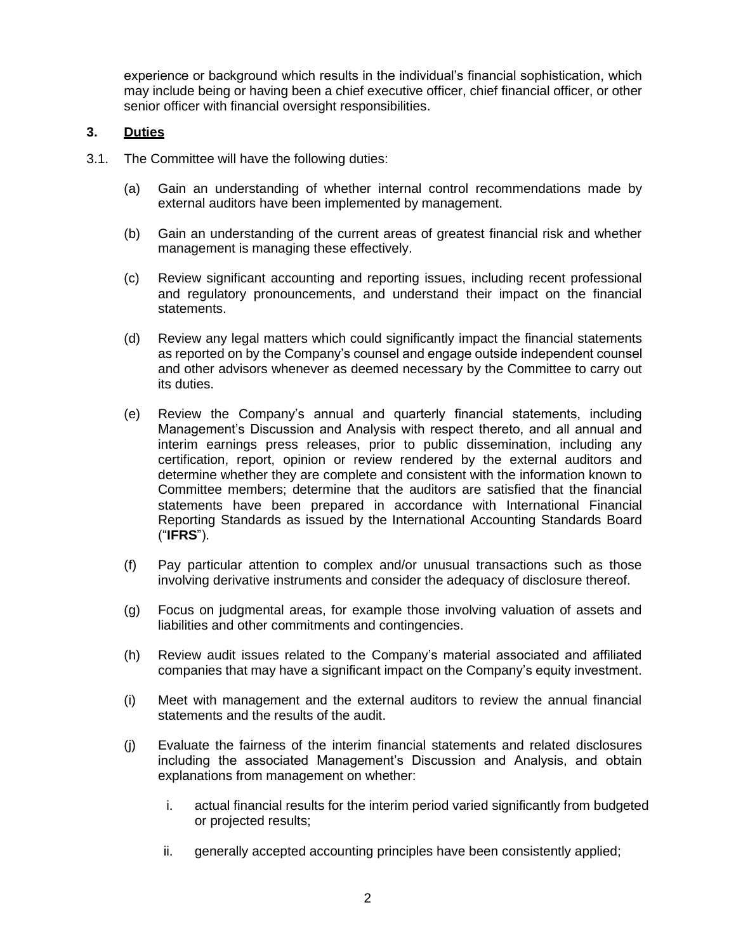experience or background which results in the individual's financial sophistication, which may include being or having been a chief executive officer, chief financial officer, or other senior officer with financial oversight responsibilities.

### **3. Duties**

- 3.1. The Committee will have the following duties:
	- (a) Gain an understanding of whether internal control recommendations made by external auditors have been implemented by management.
	- (b) Gain an understanding of the current areas of greatest financial risk and whether management is managing these effectively.
	- (c) Review significant accounting and reporting issues, including recent professional and regulatory pronouncements, and understand their impact on the financial statements.
	- (d) Review any legal matters which could significantly impact the financial statements as reported on by the Company's counsel and engage outside independent counsel and other advisors whenever as deemed necessary by the Committee to carry out its duties.
	- (e) Review the Company's annual and quarterly financial statements, including Management's Discussion and Analysis with respect thereto, and all annual and interim earnings press releases, prior to public dissemination, including any certification, report, opinion or review rendered by the external auditors and determine whether they are complete and consistent with the information known to Committee members; determine that the auditors are satisfied that the financial statements have been prepared in accordance with International Financial Reporting Standards as issued by the International Accounting Standards Board ("**IFRS**").
	- (f) Pay particular attention to complex and/or unusual transactions such as those involving derivative instruments and consider the adequacy of disclosure thereof.
	- (g) Focus on judgmental areas, for example those involving valuation of assets and liabilities and other commitments and contingencies.
	- (h) Review audit issues related to the Company's material associated and affiliated companies that may have a significant impact on the Company's equity investment.
	- (i) Meet with management and the external auditors to review the annual financial statements and the results of the audit.
	- (j) Evaluate the fairness of the interim financial statements and related disclosures including the associated Management's Discussion and Analysis, and obtain explanations from management on whether:
		- i. actual financial results for the interim period varied significantly from budgeted or projected results;
		- ii. generally accepted accounting principles have been consistently applied;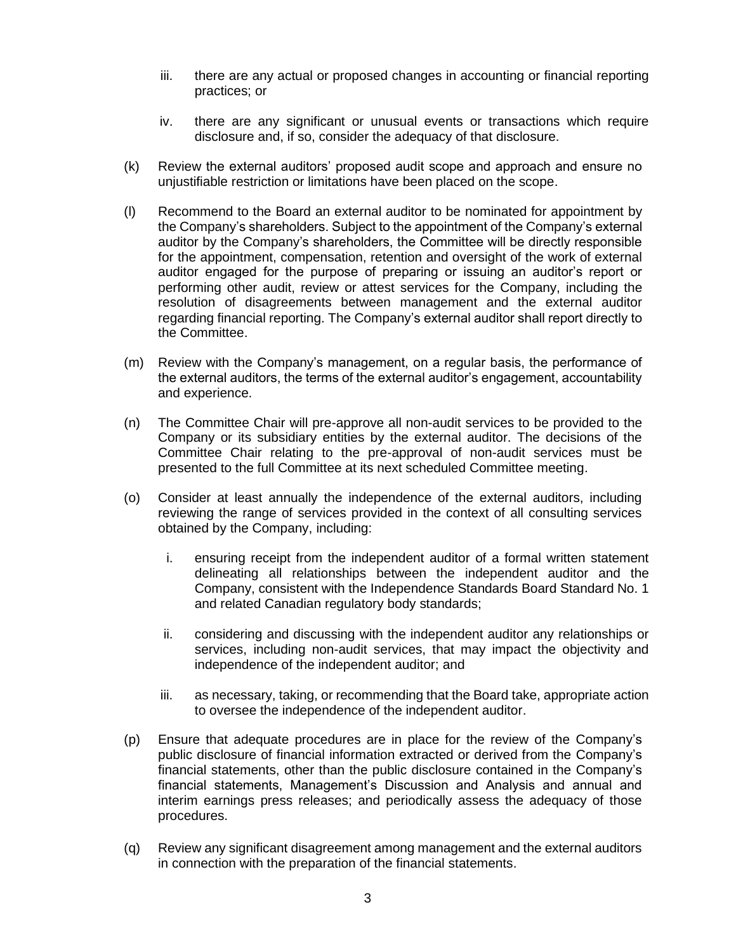- iii. there are any actual or proposed changes in accounting or financial reporting practices; or
- iv. there are any significant or unusual events or transactions which require disclosure and, if so, consider the adequacy of that disclosure.
- (k) Review the external auditors' proposed audit scope and approach and ensure no unjustifiable restriction or limitations have been placed on the scope.
- (l) Recommend to the Board an external auditor to be nominated for appointment by the Company's shareholders. Subject to the appointment of the Company's external auditor by the Company's shareholders, the Committee will be directly responsible for the appointment, compensation, retention and oversight of the work of external auditor engaged for the purpose of preparing or issuing an auditor's report or performing other audit, review or attest services for the Company, including the resolution of disagreements between management and the external auditor regarding financial reporting. The Company's external auditor shall report directly to the Committee.
- (m) Review with the Company's management, on a regular basis, the performance of the external auditors, the terms of the external auditor's engagement, accountability and experience.
- (n) The Committee Chair will pre-approve all non-audit services to be provided to the Company or its subsidiary entities by the external auditor. The decisions of the Committee Chair relating to the pre-approval of non-audit services must be presented to the full Committee at its next scheduled Committee meeting.
- (o) Consider at least annually the independence of the external auditors, including reviewing the range of services provided in the context of all consulting services obtained by the Company, including:
	- i. ensuring receipt from the independent auditor of a formal written statement delineating all relationships between the independent auditor and the Company, consistent with the Independence Standards Board Standard No. 1 and related Canadian regulatory body standards;
	- ii. considering and discussing with the independent auditor any relationships or services, including non-audit services, that may impact the objectivity and independence of the independent auditor; and
	- iii. as necessary, taking, or recommending that the Board take, appropriate action to oversee the independence of the independent auditor.
- (p) Ensure that adequate procedures are in place for the review of the Company's public disclosure of financial information extracted or derived from the Company's financial statements, other than the public disclosure contained in the Company's financial statements, Management's Discussion and Analysis and annual and interim earnings press releases; and periodically assess the adequacy of those procedures.
- (q) Review any significant disagreement among management and the external auditors in connection with the preparation of the financial statements.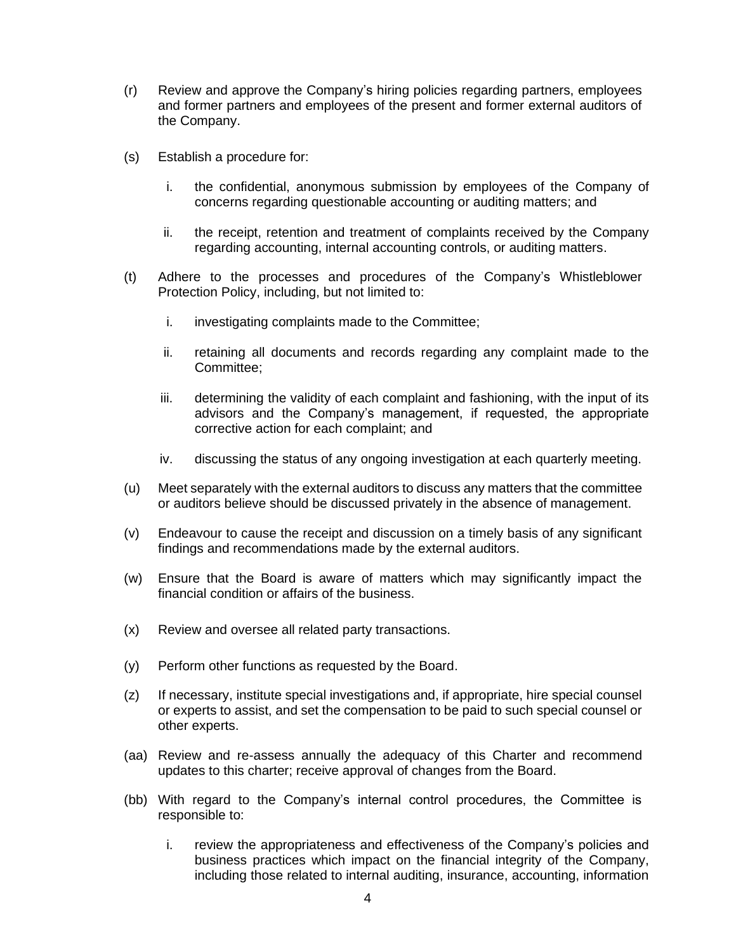- (r) Review and approve the Company's hiring policies regarding partners, employees and former partners and employees of the present and former external auditors of the Company.
- (s) Establish a procedure for:
	- i. the confidential, anonymous submission by employees of the Company of concerns regarding questionable accounting or auditing matters; and
	- ii. the receipt, retention and treatment of complaints received by the Company regarding accounting, internal accounting controls, or auditing matters.
- (t) Adhere to the processes and procedures of the Company's Whistleblower Protection Policy, including, but not limited to:
	- i. investigating complaints made to the Committee;
	- ii. retaining all documents and records regarding any complaint made to the Committee;
	- iii. determining the validity of each complaint and fashioning, with the input of its advisors and the Company's management, if requested, the appropriate corrective action for each complaint; and
	- iv. discussing the status of any ongoing investigation at each quarterly meeting.
- (u) Meet separately with the external auditors to discuss any matters that the committee or auditors believe should be discussed privately in the absence of management.
- (v) Endeavour to cause the receipt and discussion on a timely basis of any significant findings and recommendations made by the external auditors.
- (w) Ensure that the Board is aware of matters which may significantly impact the financial condition or affairs of the business.
- (x) Review and oversee all related party transactions.
- (y) Perform other functions as requested by the Board.
- (z) If necessary, institute special investigations and, if appropriate, hire special counsel or experts to assist, and set the compensation to be paid to such special counsel or other experts.
- (aa) Review and re-assess annually the adequacy of this Charter and recommend updates to this charter; receive approval of changes from the Board.
- (bb) With regard to the Company's internal control procedures, the Committee is responsible to:
	- i. review the appropriateness and effectiveness of the Company's policies and business practices which impact on the financial integrity of the Company, including those related to internal auditing, insurance, accounting, information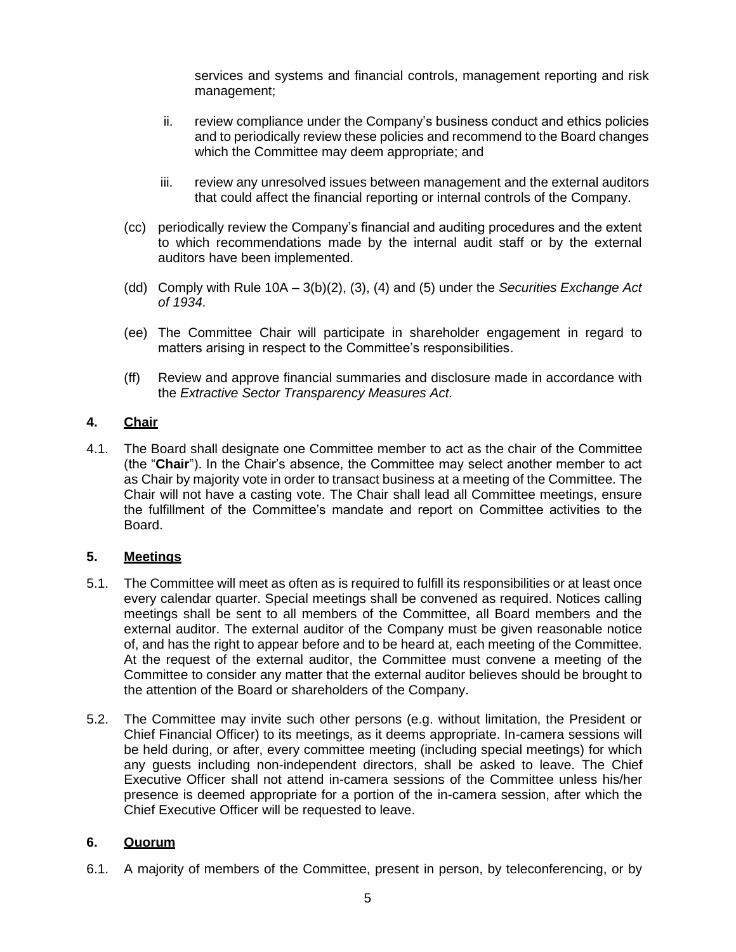services and systems and financial controls, management reporting and risk management;

- ii. review compliance under the Company's business conduct and ethics policies and to periodically review these policies and recommend to the Board changes which the Committee may deem appropriate; and
- iii. review any unresolved issues between management and the external auditors that could affect the financial reporting or internal controls of the Company.
- (cc) periodically review the Company's financial and auditing procedures and the extent to which recommendations made by the internal audit staff or by the external auditors have been implemented.
- (dd) Comply with Rule 10A 3(b)(2), (3), (4) and (5) under the *Securities Exchange Act of 1934*.
- (ee) The Committee Chair will participate in shareholder engagement in regard to matters arising in respect to the Committee's responsibilities.
- (ff) Review and approve financial summaries and disclosure made in accordance with the *Extractive Sector Transparency Measures Act.*

### **4. Chair**

4.1. The Board shall designate one Committee member to act as the chair of the Committee (the "**Chair**"). In the Chair's absence, the Committee may select another member to act as Chair by majority vote in order to transact business at a meeting of the Committee. The Chair will not have a casting vote. The Chair shall lead all Committee meetings, ensure the fulfillment of the Committee's mandate and report on Committee activities to the Board.

### **5. Meetings**

- 5.1. The Committee will meet as often as is required to fulfill its responsibilities or at least once every calendar quarter. Special meetings shall be convened as required. Notices calling meetings shall be sent to all members of the Committee, all Board members and the external auditor. The external auditor of the Company must be given reasonable notice of, and has the right to appear before and to be heard at, each meeting of the Committee. At the request of the external auditor, the Committee must convene a meeting of the Committee to consider any matter that the external auditor believes should be brought to the attention of the Board or shareholders of the Company.
- 5.2. The Committee may invite such other persons (e.g. without limitation, the President or Chief Financial Officer) to its meetings, as it deems appropriate. In-camera sessions will be held during, or after, every committee meeting (including special meetings) for which any guests including non-independent directors, shall be asked to leave. The Chief Executive Officer shall not attend in-camera sessions of the Committee unless his/her presence is deemed appropriate for a portion of the in-camera session, after which the Chief Executive Officer will be requested to leave.

### **6. Quorum**

6.1. A majority of members of the Committee, present in person, by teleconferencing, or by